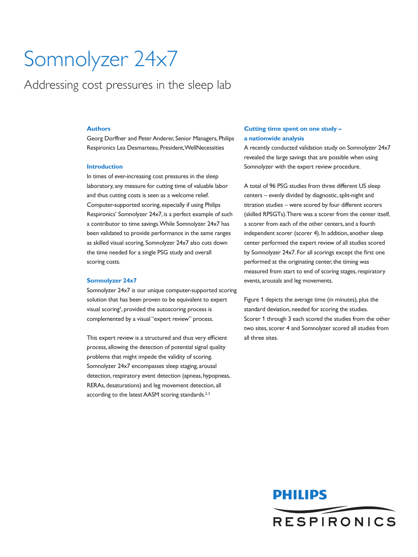# Somnolyzer 24x7

Addressing cost pressures in the sleep lab

# **Authors**

Georg Dorffner and Peter Anderer, Senior Managers, Philips Respironics Lea Desmarteau, President,WellNecessities

## **Introduction**

In times of ever-increasing cost pressures in the sleep laboratory, any measure for cutting time of valuable labor and thus cutting costs is seen as a welcome relief. Computer-supported scoring, especially if using Philips Respironics' Somnolyzer 24x7, is a perfect example of such a contributor to time savings.While Somnolyzer 24x7 has been validated to provide performance in the same ranges as skilled visual scoring, Somnolyzer 24x7 also cuts down the time needed for a single PSG study and overall scoring costs.

#### **Somnolyzer 24x7**

Somnolyzer 24x7 is our unique computer-supported scoring solution that has been proven to be equivalent to expert visual scoring<sup>1</sup>, provided the autoscoring process is complemented by a visual "expert review" process.

This expert review is a structured and thus very efficient process, allowing the detection of potential signal quality problems that might impede the validity of scoring. Somnolyzer 24x7 encompasses sleep staging, arousal detection, respiratory event detection (apneas, hypopneas, RERAs, desaturations) and leg movement detection, all according to the latest AASM scoring standards.<sup>2,3</sup>

# **Cutting time spent on one study – a nationwide analysis**

A recently conducted validation study on Somnolyzer 24x7 revealed the large savings that are possible when using Somnolyzer with the expert review procedure.

A total of 96 PSG studies from three different US sleep centers – evenly divided by diagnostic, split-night and titration studies – were scored by four different scorers (skilled RPSGTs).There was a scorer from the center itself, a scorer from each of the other centers, and a fourth independent scorer (scorer 4). In addition, another sleep center performed the expert review of all studies scored by Somnolyzer 24x7. For all scorings except the first one performed at the originating center, the timing was measured from start to end of scoring stages, respiratory events, arousals and leg movements.

Figure 1 depicts the average time (in minutes), plus the standard deviation, needed for scoring the studies. Scorer 1 through 3 each scored the studies from the other two sites, scorer 4 and Somnolyzer scored all studies from all three sites.

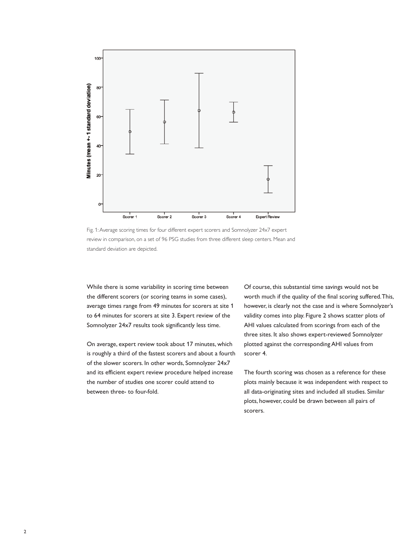

Fig. 1:Average scoring times for four different expert scorers and Somnolyzer 24x7 expert review in comparison, on a set of 96 PSG studies from three different sleep centers. Mean and standard deviation are depicted.

While there is some variability in scoring time between the different scorers (or scoring teams in some cases), average times range from 49 minutes for scorers at site 1 to 64 minutes for scorers at site 3. Expert review of the Somnolyzer 24x7 results took significantly less time.

On average, expert review took about 17 minutes, which is roughly a third of the fastest scorers and about a fourth of the slower scorers. In other words, Somnolyzer 24x7 and its efficient expert review procedure helped increase the number of studies one scorer could attend to between three- to four-fold.

Of course, this substantial time savings would not be worth much if the quality of the final scoring suffered.This, however, is clearly not the case and is where Somnolyzer's validity comes into play. Figure 2 shows scatter plots of AHI values calculated from scorings from each of the three sites. It also shows expert-reviewed Somnolyzer plotted against the corresponding AHI values from scorer 4.

The fourth scoring was chosen as a reference for these plots mainly because it was independent with respect to all data-originating sites and included all studies. Similar plots, however, could be drawn between all pairs of scorers.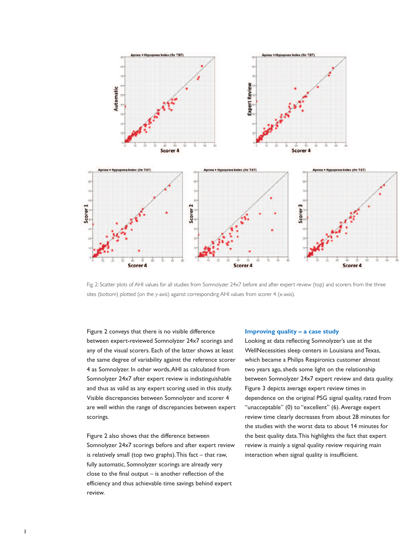

Fig. 2: Scatter plots of AHI values for all studies from Somnolyzer 24x7 before and after expert review (top) and scorers from the three sites (bottom) plotted (on the y-axis) against corresponding AHI values from scorer 4 (x-axis).

Figure 2 conveys that there is no visible difference between expert-reviewed Somnolyzer 24x7 scorings and any of the visual scorers. Each of the latter shows at least the same degree of variability against the reference scorer 4 as Somnolyzer. In other words,AHI as calculated from Somnolyzer 24x7 after expert review is indistinguishable and thus as valid as any expert scoring used in this study. Visible discrepancies between Somnolyzer and scorer 4 are well within the range of discrepancies between expert scorings.

Figure 2 also shows that the difference between Somnolyzer 24x7 scorings before and after expert review is relatively small (top two graphs).This fact – that raw, fully automatic, Somnolyzer scorings are already very close to the final output – is another reflection of the efficiency and thus achievable time savings behind expert review.

#### **Improving quality – a case study**

Looking at data reflecting Somnolyzer's use at the WellNecessities sleep centers in Louisiana and Texas, which became a Philips Respironics customer almost two years ago, sheds some light on the relationship between Somnolyzer 24x7 expert review and data quality. Figure 3 depicts average expert review times in dependence on the original PSG signal quality, rated from "unacceptable" (0) to "excellent" (6). Average expert review time clearly decreases from about 28 minutes for the studies with the worst data to about 14 minutes for the best quality data.This highlights the fact that expert review is mainly a signal quality review requiring main interaction when signal quality is insufficient.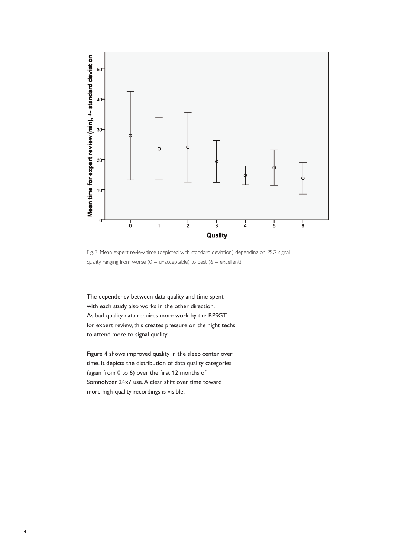

Fig. 3: Mean expert review time (depicted with standard deviation) depending on PSG signal quality ranging from worse ( $0 =$  unacceptable) to best ( $6 =$  excellent).

The dependency between data quality and time spent with each study also works in the other direction. As bad quality data requires more work by the RPSGT for expert review, this creates pressure on the night techs to attend more to signal quality.

Figure 4 shows improved quality in the sleep center over time. It depicts the distribution of data quality categories (again from 0 to 6) over the first 12 months of Somnolyzer 24x7 use.A clear shift over time toward more high-quality recordings is visible.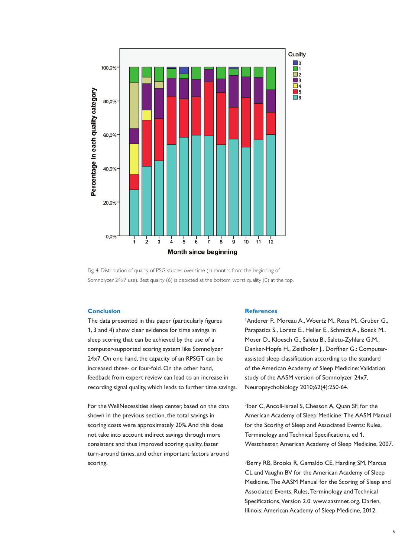

Fig. 4: Distribution of quality of PSG studies over time (in months from the beginning of Somnolyzer 24x7 use). Best quality (6) is depicted at the bottom, worst quality (0) at the top.

# **Conclusion**

The data presented in this paper (particularly figures 1, 3 and 4) show clear evidence for time savings in sleep scoring that can be achieved by the use of a computer-supported scoring system like Somnolyzer 24x7. On one hand, the capacity of an RPSGT can be increased three- or four-fold. On the other hand, feedback from expert review can lead to an increase in recording signal quality, which leads to further time savings.

For the WellNecessities sleep center, based on the data shown in the previous section, the total savings in scoring costs were approximately 20%.And this does not take into account indirect savings through more consistent and thus improved scoring quality, faster turn-around times, and other important factors around scoring.

### **References**

<sup>1</sup>Anderer P., Moreau A., Woertz M., Ross M., Gruber G., Parapatics S., Loretz E., Heller E., Schmidt A., Boeck M., Moser D., Kloesch G., Saletu B., Saletu-Zyhlarz G.M., Danker-Hopfe H., Zeitlhofer J., Dorffner G.: Computerassisted sleep classification according to the standard of the American Academy of Sleep Medicine: Validation study of the AASM version of Somnolyzer 24x7, Neuropsychobiology 2010;62(4):250-64.

2Iber C,Ancoli-Israel S, Chesson A, Quan SF, for the American Academy of Sleep Medicine:The AASM Manual for the Scoring of Sleep and Associated Events: Rules, Terminology and Technical Specifications, ed 1. Westchester,American Academy of Sleep Medicine, 2007.

<sup>3</sup>Berry RB, Brooks R, Gamaldo CE, Harding SM, Marcus CL and Vaughn BV for the American Academy of Sleep Medicine.The AASM Manual for the Scoring of Sleep and Associated Events: Rules, Terminology and Technical Specifications, Version 2.0. www.aasmnet.org, Darien, Illinois:American Academy of Sleep Medicine, 2012.